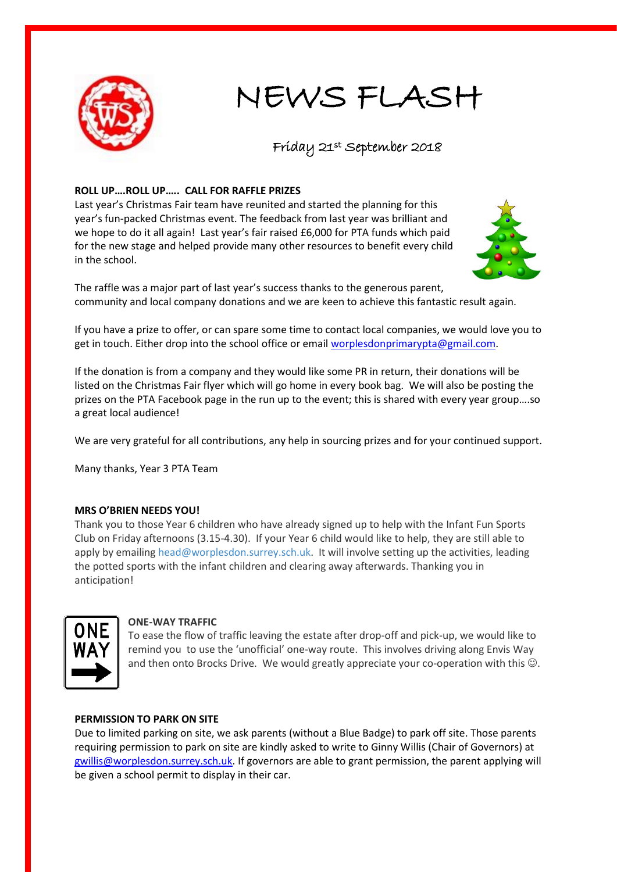

# NEWS FLASH

# Friday 21st September 2018

## **ROLL UP….ROLL UP….. CALL FOR RAFFLE PRIZES**

Last year's Christmas Fair team have reunited and started the planning for this year's fun-packed Christmas event. The feedback from last year was brilliant and we hope to do it all again! Last year's fair raised £6,000 for PTA funds which paid for the new stage and helped provide many other resources to benefit every child in the school.



The raffle was a major part of last year's success thanks to the generous parent, community and local company donations and we are keen to achieve this fantastic result again.

If you have a prize to offer, or can spare some time to contact local companies, we would love you to get in touch. Either drop into the school office or email [worplesdonprimarypta@gmail.com.](mailto:worplesdonprimarypta@gmail.com)

If the donation is from a company and they would like some PR in return, their donations will be listed on the Christmas Fair flyer which will go home in every book bag. We will also be posting the prizes on the PTA Facebook page in the run up to the event; this is shared with every year group….so a great local audience!

We are very grateful for all contributions, any help in sourcing prizes and for your continued support.

Many thanks, Year 3 PTA Team

## **MRS O'BRIEN NEEDS YOU!**

Thank you to those Year 6 children who have already signed up to help with the Infant Fun Sports Club on Friday afternoons (3.15-4.30). If your Year 6 child would like to help, they are still able to apply by emailin[g head@worplesdon.surrey.sch.uk.](mailto:head@worplesdon.surrey.sch.uk) It will involve setting up the activities, leading the potted sports with the infant children and clearing away afterwards. Thanking you in anticipation!



#### **ONE-WAY TRAFFIC**

To ease the flow of traffic leaving the estate after drop-off and pick-up, we would like to remind you to use the 'unofficial' one-way route. This involves driving along Envis Way and then onto Brocks Drive. We would greatly appreciate your co-operation with this  $\mathbb{O}$ .

#### **PERMISSION TO PARK ON SITE**

Due to limited parking on site, we ask parents (without a Blue Badge) to park off site. Those parents requiring permission to park on site are kindly asked to write to Ginny Willis (Chair of Governors) at [gwillis@worplesdon.surrey.sch.uk.](mailto:gwillis@worplesdon.surrey.sch.uk) If governors are able to grant permission, the parent applying will be given a school permit to display in their car.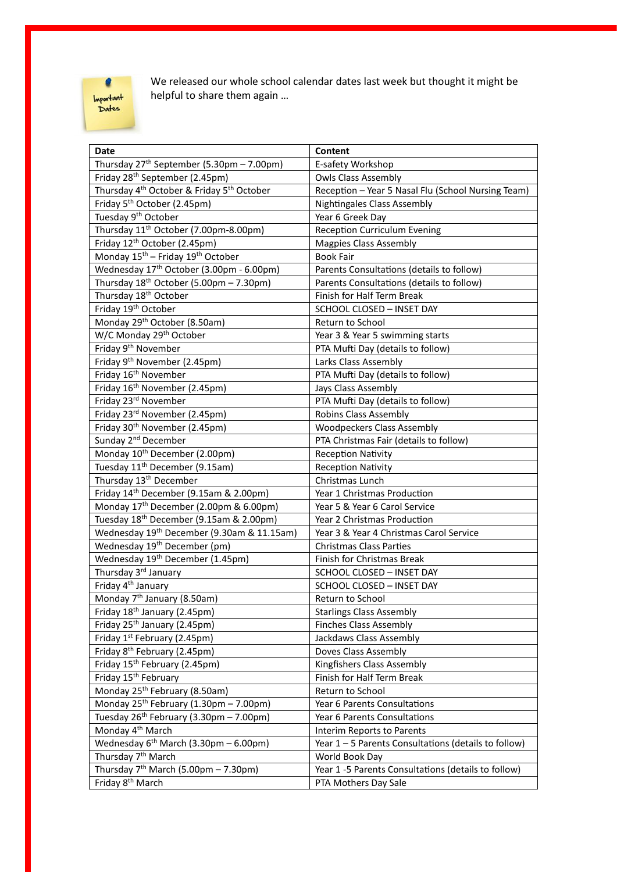

We released our whole school calendar dates last week but thought it might be helpful to share them again …

| Date                                                              | Content                                              |
|-------------------------------------------------------------------|------------------------------------------------------|
| Thursday 27 <sup>th</sup> September (5.30pm - 7.00pm)             | E-safety Workshop                                    |
| Friday 28 <sup>th</sup> September (2.45pm)                        | <b>Owls Class Assembly</b>                           |
| Thursday 4 <sup>th</sup> October & Friday 5 <sup>th</sup> October | Reception - Year 5 Nasal Flu (School Nursing Team)   |
| Friday 5 <sup>th</sup> October (2.45pm)                           | <b>Nightingales Class Assembly</b>                   |
| Tuesday 9 <sup>th</sup> October                                   | Year 6 Greek Day                                     |
| Thursday 11 <sup>th</sup> October (7.00pm-8.00pm)                 | <b>Reception Curriculum Evening</b>                  |
| Friday 12 <sup>th</sup> October (2.45pm)                          | <b>Magpies Class Assembly</b>                        |
| Monday 15 <sup>th</sup> - Friday 19 <sup>th</sup> October         | <b>Book Fair</b>                                     |
| Wednesday 17 <sup>th</sup> October (3.00pm - 6.00pm)              | Parents Consultations (details to follow)            |
| Thursday 18 <sup>th</sup> October (5.00pm - 7.30pm)               | Parents Consultations (details to follow)            |
| Thursday 18 <sup>th</sup> October                                 | Finish for Half Term Break                           |
| Friday 19th October                                               | SCHOOL CLOSED - INSET DAY                            |
| Monday 29 <sup>th</sup> October (8.50am)                          | Return to School                                     |
| W/C Monday 29th October                                           | Year 3 & Year 5 swimming starts                      |
| Friday 9 <sup>th</sup> November                                   | PTA Mufti Day (details to follow)                    |
| Friday 9 <sup>th</sup> November (2.45pm)                          | Larks Class Assembly                                 |
| Friday 16 <sup>th</sup> November                                  | PTA Mufti Day (details to follow)                    |
| Friday 16 <sup>th</sup> November (2.45pm)                         | Jays Class Assembly                                  |
| Friday 23rd November                                              | PTA Mufti Day (details to follow)                    |
| Friday 23rd November (2.45pm)                                     | <b>Robins Class Assembly</b>                         |
| Friday 30 <sup>th</sup> November (2.45pm)                         | <b>Woodpeckers Class Assembly</b>                    |
| Sunday 2 <sup>nd</sup> December                                   | PTA Christmas Fair (details to follow)               |
| Monday 10 <sup>th</sup> December (2.00pm)                         | <b>Reception Nativity</b>                            |
| Tuesday 11 <sup>th</sup> December (9.15am)                        | <b>Reception Nativity</b>                            |
| Thursday 13 <sup>th</sup> December                                | Christmas Lunch                                      |
| Friday 14 <sup>th</sup> December (9.15am & 2.00pm)                | Year 1 Christmas Production                          |
| Monday 17 <sup>th</sup> December (2.00pm & 6.00pm)                | Year 5 & Year 6 Carol Service                        |
| Tuesday 18 <sup>th</sup> December (9.15am & 2.00pm)               | Year 2 Christmas Production                          |
| Wednesday 19th December (9.30am & 11.15am)                        | Year 3 & Year 4 Christmas Carol Service              |
| Wednesday 19 <sup>th</sup> December (pm)                          | <b>Christmas Class Parties</b>                       |
| Wednesday 19 <sup>th</sup> December (1.45pm)                      | Finish for Christmas Break                           |
| Thursday 3rd January                                              | SCHOOL CLOSED - INSET DAY                            |
| Friday 4 <sup>th</sup> January                                    | <b>SCHOOL CLOSED - INSET DAY</b>                     |
| Monday 7 <sup>th</sup> January (8.50am)                           | Return to School                                     |
| Friday 18 <sup>th</sup> January (2.45pm)                          | <b>Starlings Class Assembly</b>                      |
| Friday 25 <sup>th</sup> January (2.45pm)                          | <b>Finches Class Assembly</b>                        |
| Friday 1 <sup>st</sup> February (2.45pm)                          | Jackdaws Class Assembly                              |
| Friday 8 <sup>th</sup> February (2.45pm)                          | Doves Class Assembly                                 |
| Friday 15 <sup>th</sup> February (2.45pm)                         | <b>Kingfishers Class Assembly</b>                    |
| Friday 15 <sup>th</sup> February                                  | Finish for Half Term Break                           |
| Monday 25 <sup>th</sup> February (8.50am)                         | Return to School                                     |
| Monday $25^{th}$ February (1.30pm - 7.00pm)                       | Year 6 Parents Consultations                         |
| Tuesday 26 <sup>th</sup> February (3.30pm - 7.00pm)               | Year 6 Parents Consultations                         |
| Monday 4 <sup>th</sup> March                                      | Interim Reports to Parents                           |
| Wednesday $6^{th}$ March (3.30pm - 6.00pm)                        | Year 1 - 5 Parents Consultations (details to follow) |
| Thursday 7 <sup>th</sup> March                                    | World Book Day                                       |
| Thursday 7 <sup>th</sup> March (5.00pm - 7.30pm)                  | Year 1 -5 Parents Consultations (details to follow)  |
| Friday 8 <sup>th</sup> March                                      | PTA Mothers Day Sale                                 |